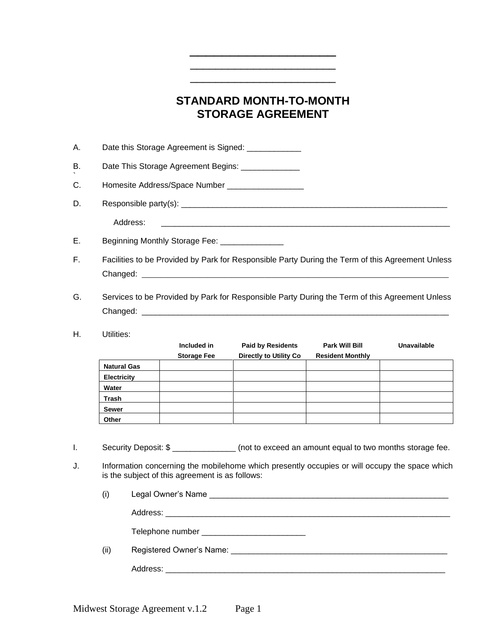## **STANDARD MONTH-TO-MONTH STORAGE AGREEMENT**

\_\_\_\_\_\_\_\_\_\_\_\_\_\_\_\_\_\_ \_\_\_\_\_\_\_\_\_\_\_\_\_\_\_\_\_\_\_\_\_\_\_ \_\_\_\_\_\_\_\_\_\_\_\_\_\_\_\_\_\_\_\_\_\_\_

A. Date this Storage Agreement is Signed: \_\_\_\_\_\_\_\_\_\_\_\_\_

B. Date This Storage Agreement Begins:

C. Homesite Address/Space Number \_\_\_\_\_\_\_\_\_\_\_\_\_\_\_\_\_\_\_

D. Responsible party(s):  $\Box$ 

Address: \_\_\_\_\_\_\_\_\_\_\_\_\_\_\_\_\_\_\_\_\_\_\_\_\_\_\_\_\_\_\_\_\_\_\_\_\_\_\_\_\_\_\_\_\_\_\_\_\_\_\_\_\_\_\_\_\_\_\_\_\_\_\_\_

E. Beginning Monthly Storage Fee: \_\_\_\_\_\_\_\_\_\_\_\_\_\_\_

- F. Facilities to be Provided by Park for Responsible Party During the Term of this Agreement Unless Changed: \_\_\_\_\_\_\_\_\_\_\_\_\_\_\_\_\_\_\_\_\_\_\_\_\_\_\_\_\_\_\_\_\_\_\_\_\_\_\_\_\_\_\_\_\_\_\_\_\_\_\_\_\_\_\_\_\_\_\_\_\_\_\_\_\_\_\_\_\_\_\_\_\_\_\_\_\_\_\_\_\_\_\_\_\_
- G. Services to be Provided by Park for Responsible Party During the Term of this Agreement Unless Changed: \_\_\_\_\_\_\_\_\_\_\_\_\_\_\_\_\_\_\_\_\_\_\_\_\_\_\_\_\_\_\_\_\_\_\_\_\_\_\_\_\_\_\_\_\_\_\_\_\_\_\_\_\_\_\_\_\_\_\_\_\_\_\_\_\_\_\_\_
- H. Utilities:

`

|                    | Included in<br><b>Storage Fee</b> | <b>Paid by Residents</b><br><b>Directly to Utility Co</b> | <b>Park Will Bill</b><br><b>Resident Monthly</b> | Unavailable |
|--------------------|-----------------------------------|-----------------------------------------------------------|--------------------------------------------------|-------------|
| <b>Natural Gas</b> |                                   |                                                           |                                                  |             |
| Electricity        |                                   |                                                           |                                                  |             |
| Water              |                                   |                                                           |                                                  |             |
| Trash              |                                   |                                                           |                                                  |             |
| <b>Sewer</b>       |                                   |                                                           |                                                  |             |
| Other              |                                   |                                                           |                                                  |             |

I. Security Deposit: \$ \_\_\_\_\_\_\_\_\_\_\_\_\_\_ (not to exceed an amount equal to two months storage fee.

J. Information concerning the mobilehome which presently occupies or will occupy the space which is the subject of this agreement is as follows:

(i) Legal Owner's Name **Legal Countries and Australian Countries and Australian Countries and Australian Countries and Australian Countries and Australian Countries and Australian Countries and Australian Countries and Aus** Address: \_\_\_\_\_\_\_\_\_\_\_\_\_\_\_\_\_\_\_\_\_\_\_\_\_\_\_\_\_\_\_\_\_\_\_\_\_\_\_\_\_\_\_\_\_\_\_\_\_\_\_\_\_\_\_\_\_\_\_\_\_\_\_ Telephone number (ii) Registered Owner's Name:  $\Box$ Address: \_\_\_\_\_\_\_\_\_\_\_\_\_\_\_\_\_\_\_\_\_\_\_\_\_\_\_\_\_\_\_\_\_\_\_\_\_\_\_\_\_\_\_\_\_\_\_\_\_\_\_\_\_\_\_\_\_\_\_\_\_\_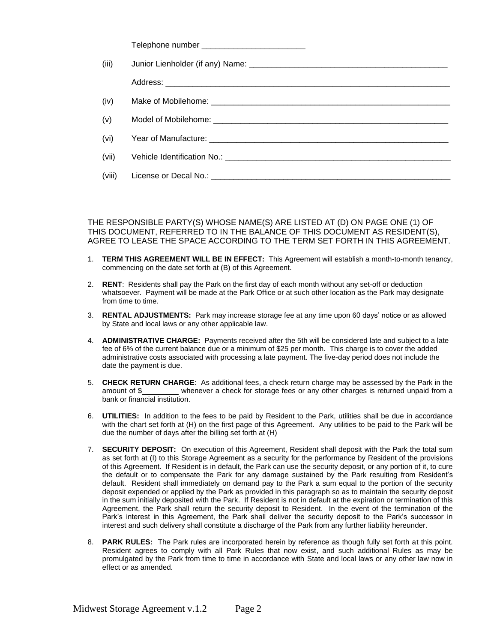| (iii)  |  |
|--------|--|
|        |  |
| (iv)   |  |
| (v)    |  |
| (vi)   |  |
| (vii)  |  |
| (viii) |  |

THE RESPONSIBLE PARTY(S) WHOSE NAME(S) ARE LISTED AT (D) ON PAGE ONE (1) OF THIS DOCUMENT, REFERRED TO IN THE BALANCE OF THIS DOCUMENT AS RESIDENT(S), AGREE TO LEASE THE SPACE ACCORDING TO THE TERM SET FORTH IN THIS AGREEMENT.

- 1. **TERM THIS AGREEMENT WILL BE IN EFFECT:** This Agreement will establish a month-to-month tenancy, commencing on the date set forth at (B) of this Agreement.
- 2. **RENT**: Residents shall pay the Park on the first day of each month without any set-off or deduction whatsoever. Payment will be made at the Park Office or at such other location as the Park may designate from time to time.
- 3. **RENTAL ADJUSTMENTS:** Park may increase storage fee at any time upon 60 days' notice or as allowed by State and local laws or any other applicable law.
- 4. **ADMINISTRATIVE CHARGE:** Payments received after the 5th will be considered late and subject to a late fee of 6% of the current balance due or a minimum of \$25 per month. This charge is to cover the added administrative costs associated with processing a late payment. The five-day period does not include the date the payment is due.
- 5. **CHECK RETURN CHARGE**: As additional fees, a check return charge may be assessed by the Park in the amount of \$\_\_\_\_\_\_\_\_\_ whenever a check for storage fees or any other charges is returned unpaid from a bank or financial institution.
- 6. **UTILITIES:** In addition to the fees to be paid by Resident to the Park, utilities shall be due in accordance with the chart set forth at (H) on the first page of this Agreement. Any utilities to be paid to the Park will be due the number of days after the billing set forth at (H)
- 7. **SECURITY DEPOSIT:** On execution of this Agreement, Resident shall deposit with the Park the total sum as set forth at (I) to this Storage Agreement as a security for the performance by Resident of the provisions of this Agreement. If Resident is in default, the Park can use the security deposit, or any portion of it, to cure the default or to compensate the Park for any damage sustained by the Park resulting from Resident's default. Resident shall immediately on demand pay to the Park a sum equal to the portion of the security deposit expended or applied by the Park as provided in this paragraph so as to maintain the security deposit in the sum initially deposited with the Park. If Resident is not in default at the expiration or termination of this Agreement, the Park shall return the security deposit to Resident. In the event of the termination of the Park's interest in this Agreement, the Park shall deliver the security deposit to the Park's successor in interest and such delivery shall constitute a discharge of the Park from any further liability hereunder.
- 8. **PARK RULES:** The Park rules are incorporated herein by reference as though fully set forth at this point. Resident agrees to comply with all Park Rules that now exist, and such additional Rules as may be promulgated by the Park from time to time in accordance with State and local laws or any other law now in effect or as amended.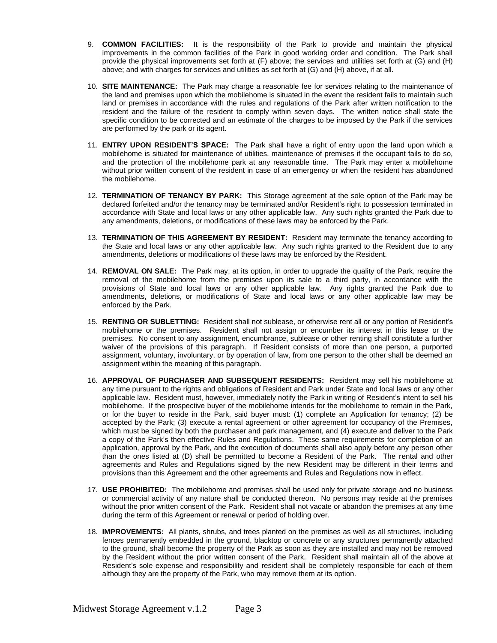- 9. **COMMON FACILITIES:** It is the responsibility of the Park to provide and maintain the physical improvements in the common facilities of the Park in good working order and condition. The Park shall provide the physical improvements set forth at (F) above; the services and utilities set forth at (G) and (H) above; and with charges for services and utilities as set forth at (G) and (H) above, if at all.
- 10. **SITE MAINTENANCE:** The Park may charge a reasonable fee for services relating to the maintenance of the land and premises upon which the mobilehome is situated in the event the resident fails to maintain such land or premises in accordance with the rules and regulations of the Park after written notification to the resident and the failure of the resident to comply within seven days. The written notice shall state the specific condition to be corrected and an estimate of the charges to be imposed by the Park if the services are performed by the park or its agent.
- 11. **ENTRY UPON RESIDENT'S SPACE:** The Park shall have a right of entry upon the land upon which a mobilehome is situated for maintenance of utilities, maintenance of premises if the occupant fails to do so, and the protection of the mobilehome park at any reasonable time. The Park may enter a mobilehome without prior written consent of the resident in case of an emergency or when the resident has abandoned the mobilehome.
- 12. **TERMINATION OF TENANCY BY PARK:** This Storage agreement at the sole option of the Park may be declared forfeited and/or the tenancy may be terminated and/or Resident's right to possession terminated in accordance with State and local laws or any other applicable law. Any such rights granted the Park due to any amendments, deletions, or modifications of these laws may be enforced by the Park.
- 13. **TERMINATION OF THIS AGREEMENT BY RESIDENT:** Resident may terminate the tenancy according to the State and local laws or any other applicable law. Any such rights granted to the Resident due to any amendments, deletions or modifications of these laws may be enforced by the Resident.
- 14. **REMOVAL ON SALE:** The Park may, at its option, in order to upgrade the quality of the Park, require the removal of the mobilehome from the premises upon its sale to a third party, in accordance with the provisions of State and local laws or any other applicable law. Any rights granted the Park due to amendments, deletions, or modifications of State and local laws or any other applicable law may be enforced by the Park.
- 15. **RENTING OR SUBLETTING:** Resident shall not sublease, or otherwise rent all or any portion of Resident's mobilehome or the premises. Resident shall not assign or encumber its interest in this lease or the premises. No consent to any assignment, encumbrance, sublease or other renting shall constitute a further waiver of the provisions of this paragraph. If Resident consists of more than one person, a purported assignment, voluntary, involuntary, or by operation of law, from one person to the other shall be deemed an assignment within the meaning of this paragraph.
- 16. **APPROVAL OF PURCHASER AND SUBSEQUENT RESIDENTS:** Resident may sell his mobilehome at any time pursuant to the rights and obligations of Resident and Park under State and local laws or any other applicable law. Resident must, however, immediately notify the Park in writing of Resident's intent to sell his mobilehome. If the prospective buyer of the mobilehome intends for the mobilehome to remain in the Park, or for the buyer to reside in the Park, said buyer must: (1) complete an Application for tenancy; (2) be accepted by the Park; (3) execute a rental agreement or other agreement for occupancy of the Premises, which must be signed by both the purchaser and park management, and (4) execute and deliver to the Park a copy of the Park's then effective Rules and Regulations. These same requirements for completion of an application, approval by the Park, and the execution of documents shall also apply before any person other than the ones listed at (D) shall be permitted to become a Resident of the Park. The rental and other agreements and Rules and Regulations signed by the new Resident may be different in their terms and provisions than this Agreement and the other agreements and Rules and Regulations now in effect.
- 17. **USE PROHIBITED:** The mobilehome and premises shall be used only for private storage and no business or commercial activity of any nature shall be conducted thereon. No persons may reside at the premises without the prior written consent of the Park. Resident shall not vacate or abandon the premises at any time during the term of this Agreement or renewal or period of holding over.
- 18. **IMPROVEMENTS:** All plants, shrubs, and trees planted on the premises as well as all structures, including fences permanently embedded in the ground, blacktop or concrete or any structures permanently attached to the ground, shall become the property of the Park as soon as they are installed and may not be removed by the Resident without the prior written consent of the Park. Resident shall maintain all of the above at Resident's sole expense and responsibility and resident shall be completely responsible for each of them although they are the property of the Park, who may remove them at its option.